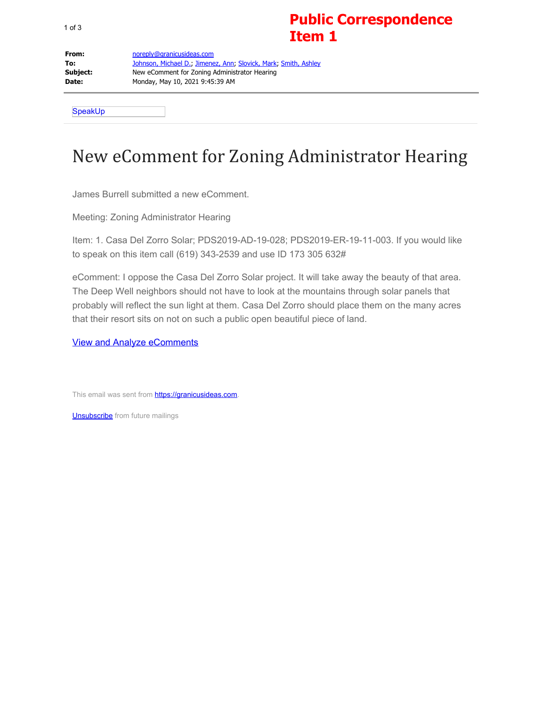## **Public Correspondence Item 1**

**From:** [noreply@granicusideas.com](mailto:noreply@granicusideas.com) **To:** [Johnson, Michael D.;](mailto:Michael.Johnson1@sdcounty.ca.gov) [Jimenez, Ann](mailto:Ann.Jimenez@sdcounty.ca.gov); [Slovick, Mark](mailto:Mark.Slovick@sdcounty.ca.gov); [Smith, Ashley](mailto:Ashley.Smith2@sdcounty.ca.gov) **Subject:** New eComment for Zoning Administrator Hearing **Date:** Monday, May 10, 2021 9:45:39 AM

SpeakUp

## New eComment for Zoning Administrator Hearing

James Burrell submitted a new eComment.

Meeting: Zoning Administrator Hearing

Item: 1. Casa Del Zorro Solar; PDS2019-AD-19-028; PDS2019-ER-19-11-003. If you would like to speak on this item call (619) 343-2539 and use ID 173 305 632#

eComment: I oppose the Casa Del Zorro Solar project. It will take away the beauty of that area. The Deep Well neighbors should not have to look at the mountains through solar panels that probably will reflect the sun light at them. Casa Del Zorro should place them on the many acres that their resort sits on not on such a public open beautiful piece of land.

[View and Analyze eComments](http://email.granicusideas.com/c/eJw9jkEKwyAURE8TdxX9ahIXLrLpopcoRr-JtDESTaE5fV0VBobHY2C8GZgWJJqead0L4EIpEM-ZzzAzobgOgSGDUXLQnWT2siXfSkb7OjOnm41vshqJngctuB6ASRWC5IigBUgPoR9GT95mrTV3Yurg3lK8289Uv3Q5bIruLNGjLdTtW5PWbzG1xoYbplrIYaaU6CM2wqud-M-dpcv--QGGoDzt)

This email was sent from **https://granicusideas.com**.

**[Unsubscribe](http://email.granicusideas.com/c/eJwNjr0OgyAYAJ9GtxL-LQODS4e-hPmADyVVJCJN6tPX5IbLTRfsQI3ok9XUGC04E0pxMTnmuKNCMRMjRcqfknHTSQoX1PKoBeHTCiMbpLVfLERlEKXHQWgPOjw1cBoHyYKIoJjsV7ucZ-nE2PHXzXxATr7VFBAq8ft2t3LsMa14W8u1ueqP5HBqJcCJtT_smDN5pw0zXvdHDX5v-fwRD2Tev3-dOD8R)** from future mailings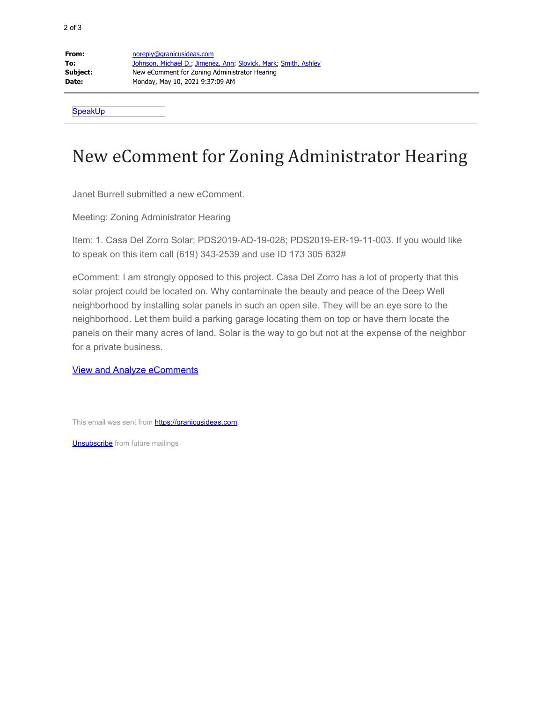| From:    | noreply@granicusideas.com                                       |
|----------|-----------------------------------------------------------------|
| To:      | Johnson, Michael D., Jimenez, Ann, Slovick, Mark, Smith, Ashley |
| Subject: | New eComment for Zoning Administrator Hearing                   |
| Date:    | Monday, May 10, 2021 9:37:09 AM                                 |
|          |                                                                 |

**SpeakUp** 

## New eComment for Zoning Administrator Hearing

Janet Burrell submitted a new eComment.

Meeting: Zoning Administrator Hearing

Item: 1. Casa Del Zorro Solar; PDS2019-AD-19-028; PDS2019-ER-19-11-003. If you would like to speak on this item call (619) 343-2539 and use ID 173 305 632#

eComment: I am strongly opposed to this project. Casa Del Zorro has a lot of property that this solar project could be located on. Why contaminate the beauty and peace of the Deep Well neighborhood by installing solar panels in such an open site. They will be an eye sore to the neighborhood. Let them build a parking garage locating them on top or have them locate the panels on their many acres of land. Solar is the way to go but not at the expense of the neighbor for a private business.

[View and Analyze eComments](http://email.granicusideas.com/c/eJw9js0KwyAQhJ8m3irrT2M8eMilh75EWV1JpNGEmBSap6-nwsDMxzAw5AxYxZLrwdpeSB-8QHqJISjppeyNCR4oKNUSdBrwwrrd6hbxfW6SZ0wLm50mE4X25g4agLxELSIYEqCVFXbwbHHzcWydGjv5aKoU1rMcXz7tWFI4a6KIlYc1txIpp9I8NsyxHJXtbiyFP1OjeLUT_3lAPq2fHzJbPb8)

This email was sent from **https://granicusideas.com**.

**[Unsubscribe](http://email.granicusideas.com/c/eJwNjkEOgyAQAF-jtxJkFeTAoZce-olmWbYtqSIRaVJfX5I5TOY0wRlpoY9OS2v1oDz5AcNjmAmUV0obQ14GAmgmu1HiiSVfSmb81KzEinHp325mNVvQDIEMKT1NZvR6mr0hAwg29It7H0fu4NqpW-O1Y4pUSwyMRdC2tpb37RkXblZTqb7QHj0_ag54cOl3d01J3OPKic_2UQJtNR0_QShe2_cPGYk_jA)** from future mailings